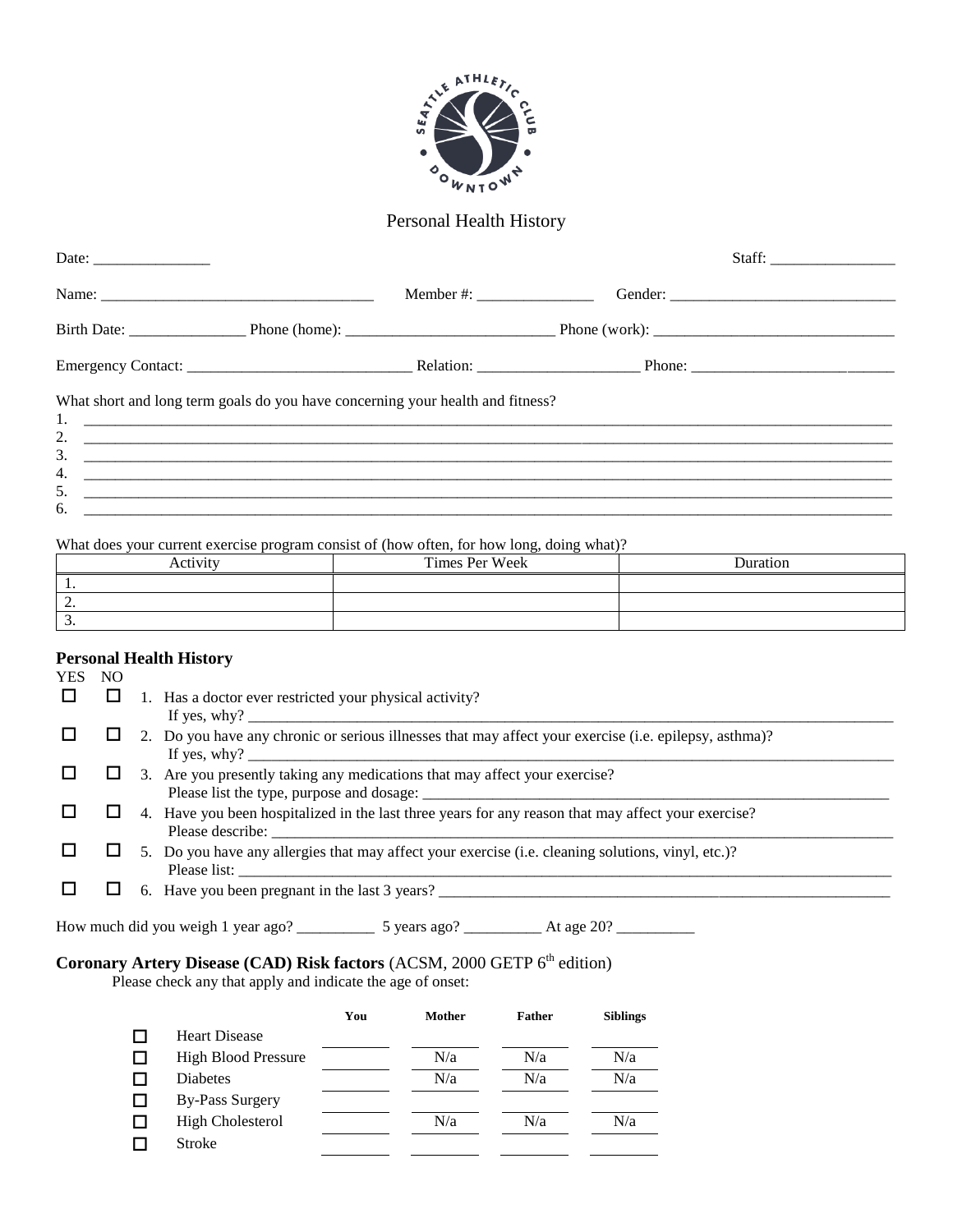

## Personal Health History

| What short and long term goals do you have concerning your health and fitness? |  |  |
|--------------------------------------------------------------------------------|--|--|
| 3.                                                                             |  |  |
| 4.                                                                             |  |  |

What does your current exercise program consist of (how often, for how long, doing what)?

| Activity | Times Per Week | Duration |
|----------|----------------|----------|
| . .      |                |          |
| <u>.</u> |                |          |
|          |                |          |

## **Personal Health History**

| YES |  |                                                                                                                         |
|-----|--|-------------------------------------------------------------------------------------------------------------------------|
|     |  | Has a doctor ever restricted your physical activity?<br>If yes, $why$ ?                                                 |
|     |  | 2. Do you have any chronic or serious illnesses that may affect your exercise (i.e. epilepsy, asthma)?                  |
|     |  | 3. Are you presently taking any medications that may affect your exercise?                                              |
|     |  | 4. Have you been hospitalized in the last three years for any reason that may affect your exercise?<br>Please describe: |
|     |  | 5. Do you have any allergies that may affect your exercise (i.e. cleaning solutions, vinyl, etc.)?<br>Please list:      |
|     |  | 6. Have you been pregnant in the last 3 years?                                                                          |

How much did you weigh 1 year ago? \_\_\_\_\_\_\_\_\_\_ 5 years ago? \_\_\_\_\_\_\_\_\_\_ At age 20? \_\_\_\_\_\_\_\_\_\_

## **Coronary Artery Disease (CAD) Risk factors (ACSM, 2000 GETP 6<sup>th</sup> edition)**

Please check any that apply and indicate the age of onset:

|                            | You | Mother | <b>Father</b> | <b>Siblings</b> |
|----------------------------|-----|--------|---------------|-----------------|
| <b>Heart Disease</b>       |     |        |               |                 |
| <b>High Blood Pressure</b> |     | N/a    | N/a           | N/a             |
| <b>Diabetes</b>            |     | N/a    | N/a           | N/a             |
| <b>By-Pass Surgery</b>     |     |        |               |                 |
| <b>High Cholesterol</b>    |     | N/a    | N/a           | N/a             |
| <b>Stroke</b>              |     |        |               |                 |
|                            |     |        |               |                 |